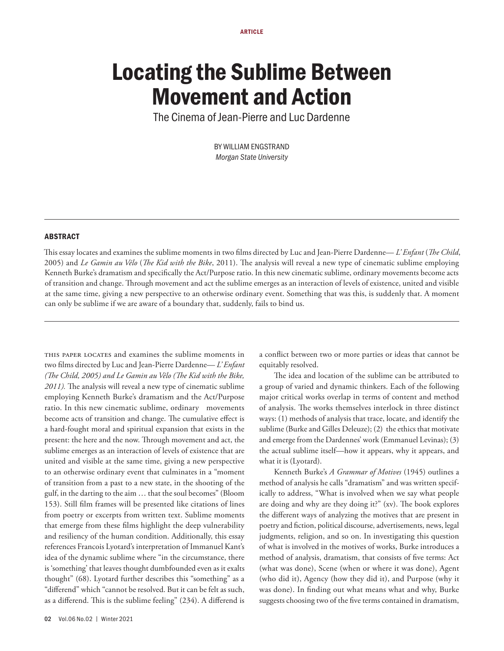# Locating the Sublime Between Movement and Action

The Cinema of Jean-Pierre and Luc Dardenne

BY WILLIAM ENGSTRAND *Morgan State University*

#### ABSTRACT

This essay locates and examines the sublime moments in two films directed by Luc and Jean-Pierre Dardenne— *L' Enfant* (*The Child*, 2005) and *Le Gamin au Vélo* (*The Kid with the Bike*, 2011). The analysis will reveal a new type of cinematic sublime employing Kenneth Burke's dramatism and specifically the Act/Purpose ratio. In this new cinematic sublime, ordinary movements become acts of transition and change. Through movement and act the sublime emerges as an interaction of levels of existence, united and visible at the same time, giving a new perspective to an otherwise ordinary event. Something that was this, is suddenly that. A moment can only be sublime if we are aware of a boundary that, suddenly, fails to bind us.

this paper locates and examines the sublime moments in two films directed by Luc and Jean-Pierre Dardenne— *L' Enfant (The Child, 2005) and Le Gamin au Vélo (The Kid with the Bike, 2011).* The analysis will reveal a new type of cinematic sublime employing Kenneth Burke's dramatism and the Act/Purpose ratio. In this new cinematic sublime, ordinary movements become acts of transition and change. The cumulative effect is a hard-fought moral and spiritual expansion that exists in the present: the here and the now. Through movement and act, the sublime emerges as an interaction of levels of existence that are united and visible at the same time, giving a new perspective to an otherwise ordinary event that culminates in a "moment of transition from a past to a new state, in the shooting of the gulf, in the darting to the aim … that the soul becomes" (Bloom 153). Still film frames will be presented like citations of lines from poetry or excerpts from written text. Sublime moments that emerge from these films highlight the deep vulnerability and resiliency of the human condition. Additionally, this essay references Francois Lyotard's interpretation of Immanuel Kant's idea of the dynamic sublime where "in the circumstance, there is 'something' that leaves thought dumbfounded even as it exalts thought" (68). Lyotard further describes this "something" as a "differend" which "cannot be resolved. But it can be felt as such, as a differend. This is the sublime feeling" (234). A differend is

a conflict between two or more parties or ideas that cannot be equitably resolved.

The idea and location of the sublime can be attributed to a group of varied and dynamic thinkers. Each of the following major critical works overlap in terms of content and method of analysis. The works themselves interlock in three distinct ways: (1) methods of analysis that trace, locate, and identify the sublime (Burke and Gilles Deleuze); (2) the ethics that motivate and emerge from the Dardennes' work (Emmanuel Levinas); (3) the actual sublime itself—how it appears, why it appears, and what it is (Lyotard).

Kenneth Burke's *A Grammar of Motives* (1945) outlines a method of analysis he calls "dramatism" and was written specifically to address, "What is involved when we say what people are doing and why are they doing it?" (xv). The book explores the different ways of analyzing the motives that are present in poetry and fiction, political discourse, advertisements, news, legal judgments, religion, and so on. In investigating this question of what is involved in the motives of works, Burke introduces a method of analysis, dramatism, that consists of five terms: Act (what was done), Scene (when or where it was done), Agent (who did it), Agency (how they did it), and Purpose (why it was done). In finding out what means what and why, Burke suggests choosing two of the five terms contained in dramatism,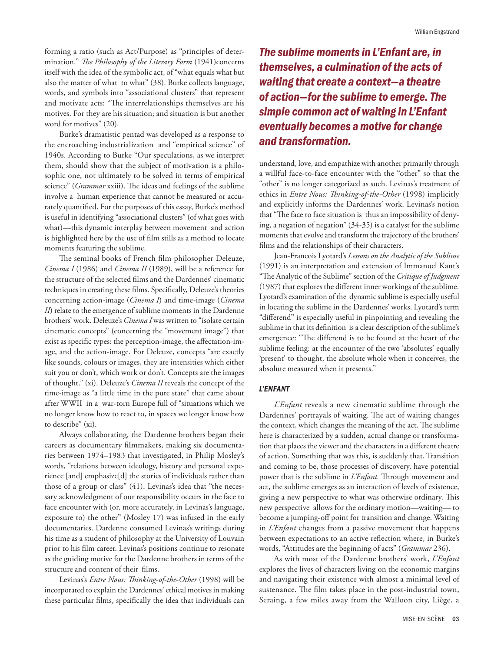forming a ratio (such as Act/Purpose) as "principles of determination." *The Philosophy of the Literary Form* (1941)concerns itself with the idea of the symbolic act, of "what equals what but also the matter of what to what" (38). Burke collects language, words, and symbols into "associational clusters" that represent and motivate acts: "The interrelationships themselves are his motives. For they are his situation; and situation is but another word for motives" (20).

Burke's dramatistic pentad was developed as a response to the encroaching industrialization and "empirical science" of 1940s. According to Burke "Our speculations, as we interpret them, should show that the subject of motivation is a philosophic one, not ultimately to be solved in terms of empirical science" (*Grammar* xxiii). The ideas and feelings of the sublime involve a human experience that cannot be measured or accurately quantified. For the purposes of this essay, Burke's method is useful in identifying "associational clusters" (of what goes with what)—this dynamic interplay between movement and action is highlighted here by the use of film stills as a method to locate moments featuring the sublime.

The seminal books of French film philosopher Deleuze, *Cinema I* (1986) and *Cinema II* (1989), will be a reference for the structure of the selected films and the Dardennes' cinematic techniques in creating these films. Specifically, Deleuze's theories concerning action-image (*Cinema I*) and time-image (*Cinema II*) relate to the emergence of sublime moments in the Dardenne brothers' work. Deleuze's *Cinema I* was written to "isolate certain cinematic concepts" (concerning the "movement image") that exist as specific types: the perception-image, the affectation-image, and the action-image. For Deleuze, concepts "are exactly like sounds, colours or images, they are intensities which either suit you or don't, which work or don't. Concepts are the images of thought." (xi). Deleuze's *Cinema II* reveals the concept of the time-image as "a little time in the pure state" that came about after WWII in a war-torn Europe full of "situations which we no longer know how to react to, in spaces we longer know how to describe" (xi).

Always collaborating, the Dardenne brothers began their careers as documentary filmmakers, making six documentaries between 1974–1983 that investigated, in Philip Mosley's words, "relations between ideology, history and personal experience [and] emphasize[d] the stories of individuals rather than those of a group or class" (41). Levinas's idea that "the necessary acknowledgment of our responsibility occurs in the face to face encounter with (or, more accurately, in Levinas's language, exposure to) the other" (Mosley 17) was infused in the early documentaries. Dardenne consumed Levinas's writings during his time as a student of philosophy at the University of Louvain prior to his film career. Levinas's positions continue to resonate as the guiding motive for the Dardenne brothers in terms of the structure and content of their films.

Levinas's *Entre Nous: Thinking-of-the-Other* (1998) will be incorporated to explain the Dardennes' ethical motives in making these particular films, specifically the idea that individuals can

*The sublime moments in L'Enfant are, in themselves, a culmination of the acts of waiting that create a context—a theatre of action—for the sublime to emerge. The simple common act of waiting in L'Enfant eventually becomes a motive for change and transformation.*

understand, love, and empathize with another primarily through a willful face-to-face encounter with the "other" so that the "other" is no longer categorized as such. Levinas's treatment of ethics in *Entre Nous: Thinking-of-the-Other* (1998) implicitly and explicitly informs the Dardennes' work. Levinas's notion that "The face to face situation is thus an impossibility of denying, a negation of negation" (34-35) is a catalyst for the sublime moments that evolve and transform the trajectory of the brothers' films and the relationships of their characters.

Jean-Francois Lyotard's *Lessons on the Analytic of the Sublime*  (1991) is an interpretation and extension of Immanuel Kant's "The Analytic of the Sublime" section of the *Critique of Judgment*  (1987) that explores the different inner workings of the sublime. Lyotard's examination of the dynamic sublime is especially useful in locating the sublime in the Dardennes' works. Lyotard's term "differend" is especially useful in pinpointing and revealing the sublime in that its definition is a clear description of the sublime's emergence: "The differend is to be found at the heart of the sublime feeling: at the encounter of the two 'absolutes' equally 'present' to thought, the absolute whole when it conceives, the absolute measured when it presents."

### *L'ENFANT*

*L'Enfant* reveals a new cinematic sublime through the Dardennes' portrayals of waiting. The act of waiting changes the context, which changes the meaning of the act. The sublime here is characterized by a sudden, actual change or transformation that places the viewer and the characters in a different theatre of action. Something that was this, is suddenly that. Transition and coming to be, those processes of discovery, have potential power that is the sublime in *L'Enfant.* Through movement and act, the sublime emerges as an interaction of levels of existence, giving a new perspective to what was otherwise ordinary. This new perspective allows for the ordinary motion—waiting— to become a jumping-off point for transition and change. Waiting in *L'Enfant* changes from a passive movement that happens between expectations to an active reflection where, in Burke's words, "Attitudes are the beginning of acts" (*Grammar* 236).

As with most of the Dardenne brothers' work, *L'Enfant* explores the lives of characters living on the economic margins and navigating their existence with almost a minimal level of sustenance. The film takes place in the post-industrial town, Seraing, a few miles away from the Walloon city, Liège, a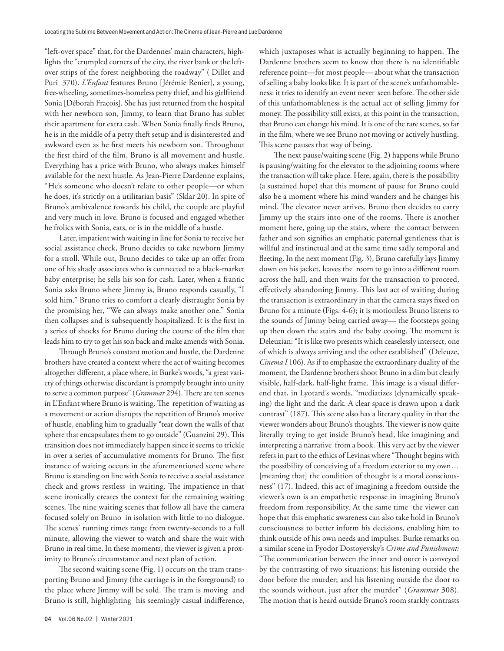"left-over space" that, for the Dardennes' main characters, highlights the "crumpled corners of the city, the river bank or the leftover strips of the forest neighboring the roadway" ( Dillet and Puri 370). *L'Enfant* features Bruno [Jérémie Renier], a young, free-wheeling, sometimes-homeless petty thief, and his girlfriend Sonia [Déborah Fraçois]. She has just returned from the hospital with her newborn son, Jimmy, to learn that Bruno has sublet their apartment for extra cash. When Sonia finally finds Bruno, he is in the middle of a petty theft setup and is disinterested and awkward even as he first meets his newborn son. Throughout the first third of the film, Bruno is all movement and hustle. Everything has a price with Bruno, who always makes himself available for the next hustle. As Jean-Pierre Dardenne explains, "He's someone who doesn't relate to other people—or when he does, it's strictly on a utilitarian basis" (Sklar 20). In spite of Bruno's ambivalence towards his child, the couple are playful and very much in love. Bruno is focused and engaged whether he frolics with Sonia, eats, or is in the middle of a hustle.

Later, impatient with waiting in line for Sonia to receive her social assistance check, Bruno decides to take newborn Jimmy for a stroll. While out, Bruno decides to take up an offer from one of his shady associates who is connected to a black-market baby enterprise; he sells his son for cash. Later, when a frantic Sonia asks Bruno where Jimmy is, Bruno responds casually, "I sold him." Bruno tries to comfort a clearly distraught Sonia by the promising her, "We can always make another one." Sonia then collapses and is subsequently hospitalized. It is the first in a series of shocks for Bruno during the course of the film that leads him to try to get his son back and make amends with Sonia.

Through Bruno's constant motion and hustle, the Dardenne brothers have created a context where the act of waiting becomes altogether different, a place where, in Burke's words, "a great variety of things otherwise discordant is promptly brought into unity to serve a common purpose" (*Grammar* 294). There are ten scenes in L'Enfant where Bruno is waiting. The repetition of waiting as a movement or action disrupts the repetition of Bruno's motive of hustle, enabling him to gradually "tear down the walls of that sphere that encapsulates them to go outside" (Guanzini 29). This transition does not immediately happen since it seems to trickle in over a series of accumulative moments for Bruno. The first instance of waiting occurs in the aforementioned scene where Bruno is standing on line with Sonia to receive a social assistance check and grows restless in waiting. The impatience in that scene ironically creates the context for the remaining waiting scenes. The nine waiting scenes that follow all have the camera focused solely on Bruno in isolation with little to no dialogue. The scenes' running times range from twenty-seconds to a full minute, allowing the viewer to watch and share the wait with Bruno in real time. In these moments, the viewer is given a proximity to Bruno's circumstance and next plan of action.

The second waiting scene (Fig. 1) occurs on the tram transporting Bruno and Jimmy (the carriage is in the foreground) to the place where Jimmy will be sold. The tram is moving and Bruno is still, highlighting his seemingly casual indifference, which juxtaposes what is actually beginning to happen. The Dardenne brothers seem to know that there is no identifiable reference point—for most people— about what the transaction of selling a baby looks like. It is part of the scene's unfathomableness: it tries to identify an event never seen before. The other side of this unfathomableness is the actual act of selling Jimmy for money. The possibility still exists, at this point in the transaction, that Bruno can change his mind. It is one of the rare scenes, so far in the film, where we see Bruno not moving or actively hustling. This scene pauses that way of being.

The next pause/waiting scene (Fig. 2) happens while Bruno is pausing/waiting for the elevator to the adjoining rooms where the transaction will take place. Here, again, there is the possibility (a sustained hope) that this moment of pause for Bruno could also be a moment where his mind wanders and he changes his mind. The elevator never arrives. Bruno then decides to carry Jimmy up the stairs into one of the rooms. There is another moment here, going up the stairs, where the contact between father and son signifies an emphatic paternal gentleness that is willful and instinctual and at the same time sadly temporal and fleeting. In the next moment (Fig. 3), Bruno carefully lays Jimmy down on his jacket, leaves the room to go into a different room across the hall, and then waits for the transaction to proceed, effectively abandoning Jimmy. This last act of waiting during the transaction is extraordinary in that the camera stays fixed on Bruno for a minute (Figs. 4-6); it is motionless Bruno listens to the sounds of Jimmy being carried away— the footsteps going up then down the stairs and the baby cooing. The moment is Deleuzian: "It is like two presents which ceaselessly intersect, one of which is always arriving and the other established" (Deleuze, *Cinema I* 106). As if to emphasize the extraordinary duality of the moment, the Dardenne brothers shoot Bruno in a dim but clearly visible, half-dark, half-light frame. This image is a visual differend that, in Lyotard's words, "mediatizes (dynamically speaking) the light and the dark. A clear space is drawn upon a dark contrast" (187). This scene also has a literary quality in that the viewer wonders about Bruno's thoughts. The viewer is now quite literally trying to get inside Bruno's head, like imagining and interpreting a narrative from a book. This very act by the viewer refers in part to the ethics of Levinas where "Thought begins with the possibility of conceiving of a freedom exterior to my own… [meaning that] the condition of thought is a moral consciousness" (17). Indeed, this act of imagining a freedom outside the viewer's own is an empathetic response in imagining Bruno's freedom from responsibility. At the same time the viewer can hope that this emphatic awareness can also take hold in Bruno's consciousness to better inform his decisions, enabling him to think outside of his own needs and impulses. Burke remarks on a similar scene in Fyodor Dostoyevsky's *Crime and Punishment:*  "The communication between the inner and outer is conveyed by the contrasting of two situations: his listening outside the door before the murder; and his listening outside the door to the sounds without, just after the murder" (*Grammar* 308). The motion that is heard outside Bruno's room starkly contrasts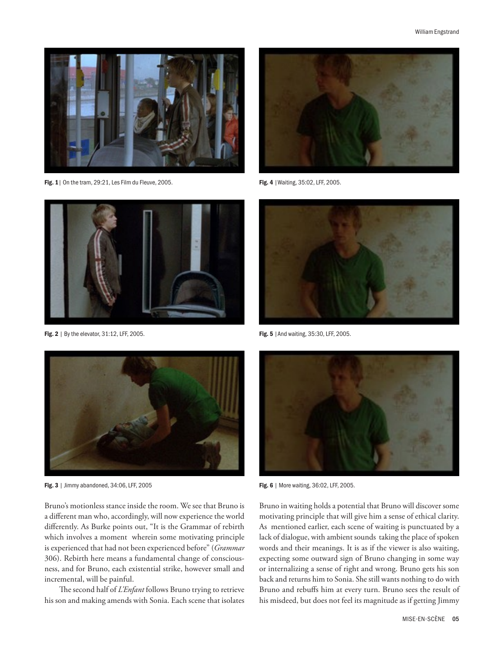

Fig. 1 | On the tram, 29:21, Les Film du Fleuve, 2005. Fig. 4 | Waiting, 35:02, LFF, 2005.



Fig. 2 | By the elevator, 31:12, LFF, 2005. The state of the state of the state of the state of the state of the state of the state of the state of the state of the state of the state of the state of the state of the state



Fig. 3 | Jimmy abandoned, 34:06, LFF, 2005 **Fig. 6 | More waiting, 36:02, LFF, 2005.** 

Bruno's motionless stance inside the room. We see that Bruno is a different man who, accordingly, will now experience the world differently. As Burke points out, "It is the Grammar of rebirth which involves a moment wherein some motivating principle is experienced that had not been experienced before" (*Grammar*  306). Rebirth here means a fundamental change of consciousness, and for Bruno, each existential strike, however small and incremental, will be painful.

The second half of *L'Enfant* follows Bruno trying to retrieve his son and making amends with Sonia. Each scene that isolates







Bruno in waiting holds a potential that Bruno will discover some motivating principle that will give him a sense of ethical clarity. As mentioned earlier, each scene of waiting is punctuated by a lack of dialogue, with ambient sounds taking the place of spoken words and their meanings. It is as if the viewer is also waiting, expecting some outward sign of Bruno changing in some way or internalizing a sense of right and wrong. Bruno gets his son back and returns him to Sonia. She still wants nothing to do with Bruno and rebuffs him at every turn. Bruno sees the result of his misdeed, but does not feel its magnitude as if getting Jimmy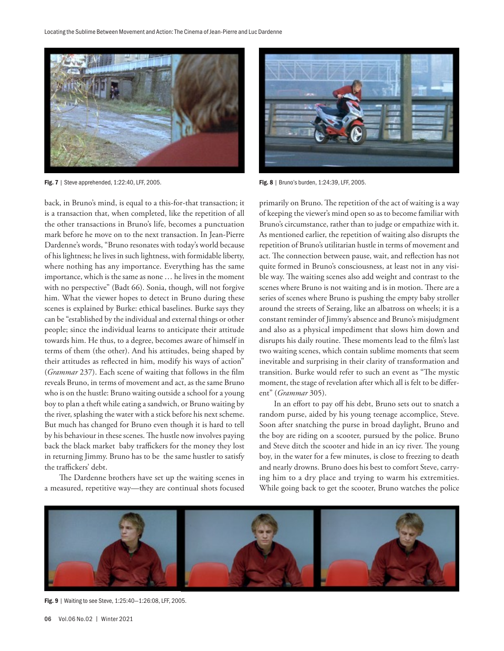

Fig. 7 | Steve apprehended, 1:22:40, LFF, 2005. Fig. 8 | Bruno's burden, 1:24:39, LFF, 2005.

back, in Bruno's mind, is equal to a this-for-that transaction; it is a transaction that, when completed, like the repetition of all the other transactions in Bruno's life, becomes a punctuation mark before he move on to the next transaction. In Jean-Pierre Dardenne's words, "Bruno resonates with today's world because of his lightness; he lives in such lightness, with formidable liberty, where nothing has any importance. Everything has the same importance, which is the same as none … he lives in the moment with no perspective" (Badt 66). Sonia, though, will not forgive him. What the viewer hopes to detect in Bruno during these scenes is explained by Burke: ethical baselines. Burke says they can be "established by the individual and external things or other people; since the individual learns to anticipate their attitude towards him. He thus, to a degree, becomes aware of himself in terms of them (the other). And his attitudes, being shaped by their attitudes as reflected in him, modify his ways of action" (*Grammar* 237). Each scene of waiting that follows in the film reveals Bruno, in terms of movement and act, as the same Bruno who is on the hustle: Bruno waiting outside a school for a young boy to plan a theft while eating a sandwich, or Bruno waiting by the river, splashing the water with a stick before his next scheme. But much has changed for Bruno even though it is hard to tell by his behaviour in these scenes. The hustle now involves paying back the black market baby traffickers for the money they lost in returning Jimmy. Bruno has to be the same hustler to satisfy the traffickers' debt.

The Dardenne brothers have set up the waiting scenes in a measured, repetitive way—they are continual shots focused



primarily on Bruno. The repetition of the act of waiting is a way of keeping the viewer's mind open so as to become familiar with Bruno's circumstance, rather than to judge or empathize with it. As mentioned earlier, the repetition of waiting also disrupts the repetition of Bruno's utilitarian hustle in terms of movement and act. The connection between pause, wait, and reflection has not quite formed in Bruno's consciousness, at least not in any visible way. The waiting scenes also add weight and contrast to the scenes where Bruno is not waiting and is in motion. There are a series of scenes where Bruno is pushing the empty baby stroller around the streets of Seraing, like an albatross on wheels; it is a constant reminder of Jimmy's absence and Bruno's misjudgment and also as a physical impediment that slows him down and disrupts his daily routine. These moments lead to the film's last two waiting scenes, which contain sublime moments that seem inevitable and surprising in their clarity of transformation and transition. Burke would refer to such an event as "The mystic moment, the stage of revelation after which all is felt to be different" (*Grammar* 305).

In an effort to pay off his debt, Bruno sets out to snatch a random purse, aided by his young teenage accomplice, Steve. Soon after snatching the purse in broad daylight, Bruno and the boy are riding on a scooter, pursued by the police. Bruno and Steve ditch the scooter and hide in an icy river. The young boy, in the water for a few minutes, is close to freezing to death and nearly drowns. Bruno does his best to comfort Steve, carrying him to a dry place and trying to warm his extremities. While going back to get the scooter, Bruno watches the police



Fig. 9 | Waiting to see Steve, 1:25:40—1:26:08, LFF, 2005.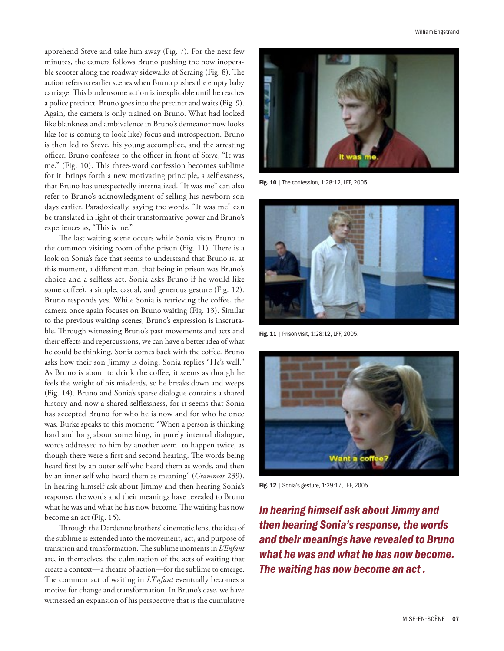apprehend Steve and take him away (Fig. 7). For the next few minutes, the camera follows Bruno pushing the now inoperable scooter along the roadway sidewalks of Seraing (Fig. 8). The action refers to earlier scenes when Bruno pushes the empty baby carriage. This burdensome action is inexplicable until he reaches a police precinct. Bruno goes into the precinct and waits (Fig. 9). Again, the camera is only trained on Bruno. What had looked like blankness and ambivalence in Bruno's demeanor now looks like (or is coming to look like) focus and introspection. Bruno is then led to Steve, his young accomplice, and the arresting officer. Bruno confesses to the officer in front of Steve, "It was me." (Fig. 10). This three-word confession becomes sublime for it brings forth a new motivating principle, a selflessness, that Bruno has unexpectedly internalized. "It was me" can also refer to Bruno's acknowledgment of selling his newborn son days earlier. Paradoxically, saying the words, "It was me" can be translated in light of their transformative power and Bruno's experiences as, "This is me."

The last waiting scene occurs while Sonia visits Bruno in the common visiting room of the prison (Fig. 11). There is a look on Sonia's face that seems to understand that Bruno is, at this moment, a different man, that being in prison was Bruno's choice and a selfless act. Sonia asks Bruno if he would like some coffee), a simple, casual, and generous gesture (Fig. 12). Bruno responds yes. While Sonia is retrieving the coffee, the camera once again focuses on Bruno waiting (Fig. 13). Similar to the previous waiting scenes, Bruno's expression is inscrutable. Through witnessing Bruno's past movements and acts and their effects and repercussions, we can have a better idea of what he could be thinking. Sonia comes back with the coffee. Bruno asks how their son Jimmy is doing. Sonia replies "He's well." As Bruno is about to drink the coffee, it seems as though he feels the weight of his misdeeds, so he breaks down and weeps (Fig. 14). Bruno and Sonia's sparse dialogue contains a shared history and now a shared selflessness, for it seems that Sonia has accepted Bruno for who he is now and for who he once was. Burke speaks to this moment: "When a person is thinking hard and long about something, in purely internal dialogue, words addressed to him by another seem to happen twice, as though there were a first and second hearing. The words being heard first by an outer self who heard them as words, and then by an inner self who heard them as meaning" (*Grammar* 239). In hearing himself ask about Jimmy and then hearing Sonia's response, the words and their meanings have revealed to Bruno what he was and what he has now become. The waiting has now become an act (Fig. 15).

Through the Dardenne brothers' cinematic lens, the idea of the sublime is extended into the movement, act, and purpose of transition and transformation. The sublime moments in *L'Enfant*  are, in themselves, the culmination of the acts of waiting that create a context—a theatre of action—for the sublime to emerge. The common act of waiting in *L'Enfant* eventually becomes a motive for change and transformation. In Bruno's case, we have witnessed an expansion of his perspective that is the cumulative



Fig. 10 | The confession, 1:28:12, LFF, 2005.



Fig. 11 | Prison visit, 1:28:12, LFF, 2005.



Fig. 12 | Sonia's gesture, 1:29:17, LFF, 2005.

*In hearing himself ask about Jimmy and then hearing Sonia's response, the words and their meanings have revealed to Bruno what he was and what he has now become. The waiting has now become an act .*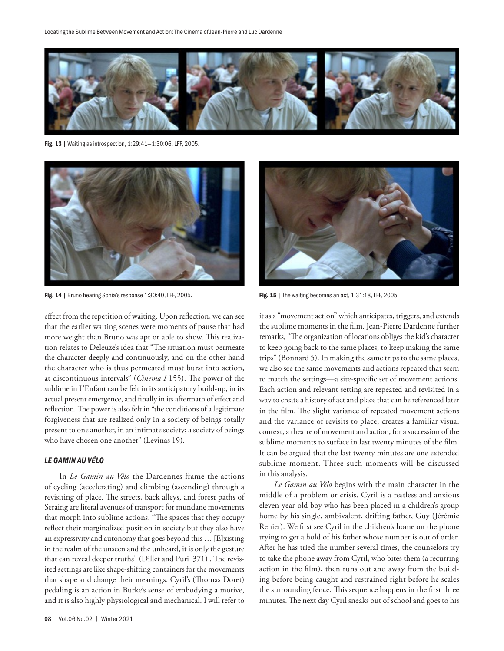

Fig. 13 | Waiting as introspection, 1:29:41—1:30:06, LFF, 2005.



Fig. 15 | The waiting becomes an act, 1:31:18, LFF, 2005. Fig. 15 | The waiting becomes an act, 1:31:18, LFF, 2005.

effect from the repetition of waiting. Upon reflection, we can see that the earlier waiting scenes were moments of pause that had more weight than Bruno was apt or able to show. This realization relates to Deleuze's idea that "The situation must permeate the character deeply and continuously, and on the other hand the character who is thus permeated must burst into action, at discontinuous intervals" (*Cinema I* 155). The power of the sublime in L'Enfant can be felt in its anticipatory build-up, in its actual present emergence, and finally in its aftermath of effect and reflection. The power is also felt in "the conditions of a legitimate forgiveness that are realized only in a society of beings totally present to one another, in an intimate society; a society of beings who have chosen one another" (Levinas 19).

# *LE GAMIN AU VÉLO*

In *Le Gamin au Vélo* the Dardennes frame the actions of cycling (accelerating) and climbing (ascending) through a revisiting of place. The streets, back alleys, and forest paths of Seraing are literal avenues of transport for mundane movements that morph into sublime actions. "The spaces that they occupy reflect their marginalized position in society but they also have an expressivity and autonomy that goes beyond this … [E]xisting in the realm of the unseen and the unheard, it is only the gesture that can reveal deeper truths" (Dillet and Puri 371) . The revisited settings are like shape-shifting containers for the movements that shape and change their meanings. Cyril's (Thomas Doret) pedaling is an action in Burke's sense of embodying a motive, and it is also highly physiological and mechanical. I will refer to



it as a "movement action" which anticipates, triggers, and extends the sublime moments in the film. Jean-Pierre Dardenne further remarks, "The organization of locations obliges the kid's character to keep going back to the same places, to keep making the same trips" (Bonnard 5). In making the same trips to the same places, we also see the same movements and actions repeated that seem to match the settings—a site-specific set of movement actions. Each action and relevant setting are repeated and revisited in a way to create a history of act and place that can be referenced later in the film. The slight variance of repeated movement actions and the variance of revisits to place, creates a familiar visual context, a theatre of movement and action, for a succession of the sublime moments to surface in last twenty minutes of the film. It can be argued that the last twenty minutes are one extended sublime moment. Three such moments will be discussed in this analysis.

*Le Gamin au Vélo* begins with the main character in the middle of a problem or crisis. Cyril is a restless and anxious eleven-year-old boy who has been placed in a children's group home by his single, ambivalent, drifting father, Guy (Jérémie Renier). We first see Cyril in the children's home on the phone trying to get a hold of his father whose number is out of order. After he has tried the number several times, the counselors try to take the phone away from Cyril, who bites them (a recurring action in the film), then runs out and away from the building before being caught and restrained right before he scales the surrounding fence. This sequence happens in the first three minutes. The next day Cyril sneaks out of school and goes to his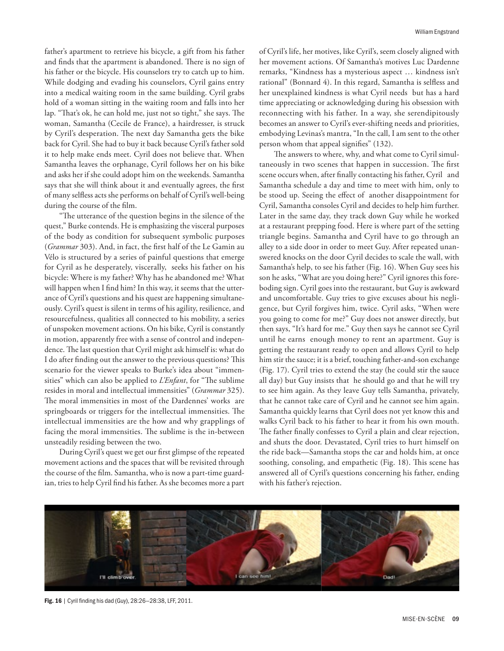father's apartment to retrieve his bicycle, a gift from his father and finds that the apartment is abandoned. There is no sign of his father or the bicycle. His counselors try to catch up to him. While dodging and evading his counselors, Cyril gains entry into a medical waiting room in the same building. Cyril grabs hold of a woman sitting in the waiting room and falls into her lap. "That's ok, he can hold me, just not so tight," she says. The woman, Samantha (Cecile de France), a hairdresser, is struck by Cyril's desperation. The next day Samantha gets the bike back for Cyril. She had to buy it back because Cyril's father sold it to help make ends meet. Cyril does not believe that. When Samantha leaves the orphanage, Cyril follows her on his bike and asks her if she could adopt him on the weekends. Samantha says that she will think about it and eventually agrees, the first of many selfless acts she performs on behalf of Cyril's well-being during the course of the film.

"The utterance of the question begins in the silence of the quest," Burke contends. He is emphasizing the visceral purposes of the body as condition for subsequent symbolic purposes (*Grammar* 303). And, in fact, the first half of the Le Gamin au Vélo is structured by a series of painful questions that emerge for Cyril as he desperately, viscerally, seeks his father on his bicycle: Where is my father? Why has he abandoned me? What will happen when I find him? In this way, it seems that the utterance of Cyril's questions and his quest are happening simultaneously. Cyril's quest is silent in terms of his agility, resilience, and resourcefulness, qualities all connected to his mobility, a series of unspoken movement actions. On his bike, Cyril is constantly in motion, apparently free with a sense of control and independence. The last question that Cyril might ask himself is: what do I do after finding out the answer to the previous questions? This scenario for the viewer speaks to Burke's idea about "immensities" which can also be applied to *L'Enfant*, for "The sublime resides in moral and intellectual immensities" (*Grammar* 325). The moral immensities in most of the Dardennes' works are springboards or triggers for the intellectual immensities. The intellectual immensities are the how and why grapplings of facing the moral immensities. The sublime is the in-between unsteadily residing between the two.

During Cyril's quest we get our first glimpse of the repeated movement actions and the spaces that will be revisited through the course of the film. Samantha, who is now a part-time guardian, tries to help Cyril find his father. As she becomes more a part of Cyril's life, her motives, like Cyril's, seem closely aligned with her movement actions. Of Samantha's motives Luc Dardenne remarks, "Kindness has a mysterious aspect … kindness isn't rational" (Bonnard 4). In this regard, Samantha is selfless and her unexplained kindness is what Cyril needs but has a hard time appreciating or acknowledging during his obsession with reconnecting with his father. In a way, she serendipitously becomes an answer to Cyril's ever-shifting needs and priorities, embodying Levinas's mantra, "In the call, I am sent to the other person whom that appeal signifies" (132).

The answers to where, why, and what come to Cyril simultaneously in two scenes that happen in succession. The first scene occurs when, after finally contacting his father, Cyril and Samantha schedule a day and time to meet with him, only to be stood up. Seeing the effect of another disappointment for Cyril, Samantha consoles Cyril and decides to help him further. Later in the same day, they track down Guy while he worked at a restaurant prepping food. Here is where part of the setting triangle begins. Samantha and Cyril have to go through an alley to a side door in order to meet Guy. After repeated unanswered knocks on the door Cyril decides to scale the wall, with Samantha's help, to see his father (Fig. 16). When Guy sees his son he asks, "What are you doing here?" Cyril ignores this foreboding sign. Cyril goes into the restaurant, but Guy is awkward and uncomfortable. Guy tries to give excuses about his negligence, but Cyril forgives him, twice. Cyril asks, "When were you going to come for me?" Guy does not answer directly, but then says, "It's hard for me." Guy then says he cannot see Cyril until he earns enough money to rent an apartment. Guy is getting the restaurant ready to open and allows Cyril to help him stir the sauce; it is a brief, touching father-and-son exchange (Fig. 17). Cyril tries to extend the stay (he could stir the sauce all day) but Guy insists that he should go and that he will try to see him again. As they leave Guy tells Samantha, privately, that he cannot take care of Cyril and he cannot see him again. Samantha quickly learns that Cyril does not yet know this and walks Cyril back to his father to hear it from his own mouth. The father finally confesses to Cyril a plain and clear rejection, and shuts the door. Devastated, Cyril tries to hurt himself on the ride back—Samantha stops the car and holds him, at once soothing, consoling, and empathetic (Fig. 18). This scene has answered all of Cyril's questions concerning his father, ending with his father's rejection.



Fig. 16 | Cyril finding his dad (Guy), 28:26—28:38, LFF, 2011.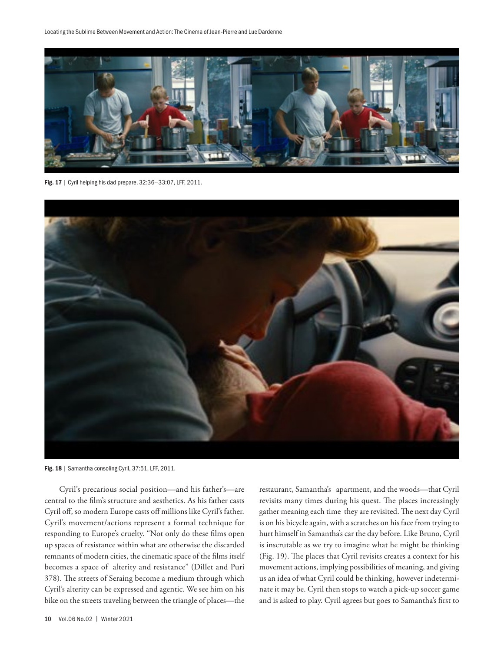

Fig. 17 | Cyril helping his dad prepare, 32:36—33:07, LFF, 2011.



Fig. 18 | Samantha consoling Cyril, 37:51, LFF, 2011.

Cyril's precarious social position—and his father's—are central to the film's structure and aesthetics. As his father casts Cyril off, so modern Europe casts off millions like Cyril's father. Cyril's movement/actions represent a formal technique for responding to Europe's cruelty. "Not only do these films open up spaces of resistance within what are otherwise the discarded remnants of modern cities, the cinematic space of the films itself becomes a space of alterity and resistance" (Dillet and Puri 378). The streets of Seraing become a medium through which Cyril's alterity can be expressed and agentic. We see him on his bike on the streets traveling between the triangle of places—the

restaurant, Samantha's apartment, and the woods—that Cyril revisits many times during his quest. The places increasingly gather meaning each time they are revisited. The next day Cyril is on his bicycle again, with a scratches on his face from trying to hurt himself in Samantha's car the day before. Like Bruno, Cyril is inscrutable as we try to imagine what he might be thinking (Fig. 19). The places that Cyril revisits creates a context for his movement actions, implying possibilities of meaning, and giving us an idea of what Cyril could be thinking, however indeterminate it may be. Cyril then stops to watch a pick-up soccer game and is asked to play. Cyril agrees but goes to Samantha's first to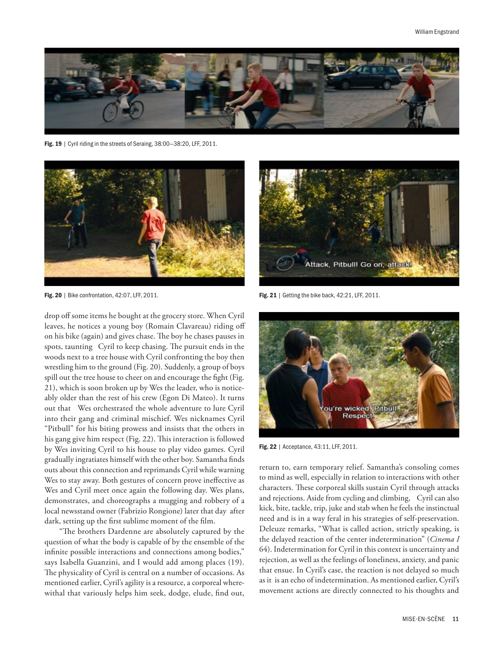

Fig. 19 | Cyril riding in the streets of Seraing, 38:00-38:20, LFF, 2011.



Fig. 20 | Bike confrontation, 42:07, LFF, 2011. The state of the state of the back, 42:21, LFF, 2011.

drop off some items he bought at the grocery store. When Cyril leaves, he notices a young boy (Romain Clavareau) riding off on his bike (again) and gives chase. The boy he chases pauses in spots, taunting Cyril to keep chasing. The pursuit ends in the woods next to a tree house with Cyril confronting the boy then wrestling him to the ground (Fig. 20). Suddenly, a group of boys spill out the tree house to cheer on and encourage the fight (Fig. 21), which is soon broken up by Wes the leader, who is noticeably older than the rest of his crew (Egon Di Mateo). It turns out that Wes orchestrated the whole adventure to lure Cyril into their gang and criminal mischief. Wes nicknames Cyril "Pitbull" for his biting prowess and insists that the others in his gang give him respect (Fig. 22). This interaction is followed by Wes inviting Cyril to his house to play video games. Cyril gradually ingratiates himself with the other boy. Samantha finds outs about this connection and reprimands Cyril while warning Wes to stay away. Both gestures of concern prove ineffective as Wes and Cyril meet once again the following day. Wes plans, demonstrates, and choreographs a mugging and robbery of a local newsstand owner (Fabrizio Rongione) later that day after dark, setting up the first sublime moment of the film.

"The brothers Dardenne are absolutely captured by the question of what the body is capable of by the ensemble of the infinite possible interactions and connections among bodies," says Isabella Guanzini, and I would add among places (19). The physicality of Cyril is central on a number of occasions. As mentioned earlier, Cyril's agility is a resource, a corporeal wherewithal that variously helps him seek, dodge, elude, find out,





Fig. 22 | Acceptance, 43:11, LFF, 2011.

return to, earn temporary relief. Samantha's consoling comes to mind as well, especially in relation to interactions with other characters. These corporeal skills sustain Cyril through attacks and rejections. Aside from cycling and climbing, Cyril can also kick, bite, tackle, trip, juke and stab when he feels the instinctual need and is in a way feral in his strategies of self-preservation. Deleuze remarks, "What is called action, strictly speaking, is the delayed reaction of the center indetermination" (*Cinema I*  64). Indetermination for Cyril in this context is uncertainty and rejection, as well as the feelings of loneliness, anxiety, and panic that ensue. In Cyril's case, the reaction is not delayed so much as it is an echo of indetermination. As mentioned earlier, Cyril's movement actions are directly connected to his thoughts and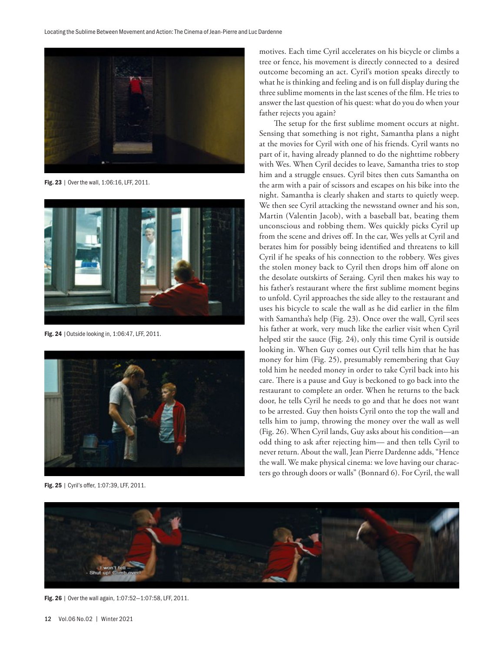

Fig. 23 | Over the wall, 1:06:16, LFF, 2011.



Fig. 24 |Outside looking in, 1:06:47, LFF, 2011.



Fig. 25 | Cyril's offer, 1:07:39, LFF, 2011.

motives. Each time Cyril accelerates on his bicycle or climbs a tree or fence, his movement is directly connected to a desired outcome becoming an act. Cyril's motion speaks directly to what he is thinking and feeling and is on full display during the three sublime moments in the last scenes of the film. He tries to answer the last question of his quest: what do you do when your father rejects you again?

The setup for the first sublime moment occurs at night. Sensing that something is not right, Samantha plans a night at the movies for Cyril with one of his friends. Cyril wants no part of it, having already planned to do the nighttime robbery with Wes. When Cyril decides to leave, Samantha tries to stop him and a struggle ensues. Cyril bites then cuts Samantha on the arm with a pair of scissors and escapes on his bike into the night. Samantha is clearly shaken and starts to quietly weep. We then see Cyril attacking the newsstand owner and his son, Martin (Valentin Jacob), with a baseball bat, beating them unconscious and robbing them. Wes quickly picks Cyril up from the scene and drives off. In the car, Wes yells at Cyril and berates him for possibly being identified and threatens to kill Cyril if he speaks of his connection to the robbery. Wes gives the stolen money back to Cyril then drops him off alone on the desolate outskirts of Seraing. Cyril then makes his way to his father's restaurant where the first sublime moment begins to unfold. Cyril approaches the side alley to the restaurant and uses his bicycle to scale the wall as he did earlier in the film with Samantha's help (Fig. 23). Once over the wall, Cyril sees his father at work, very much like the earlier visit when Cyril helped stir the sauce (Fig. 24), only this time Cyril is outside looking in. When Guy comes out Cyril tells him that he has money for him (Fig. 25), presumably remembering that Guy told him he needed money in order to take Cyril back into his care. There is a pause and Guy is beckoned to go back into the restaurant to complete an order. When he returns to the back door, he tells Cyril he needs to go and that he does not want to be arrested. Guy then hoists Cyril onto the top the wall and tells him to jump, throwing the money over the wall as well (Fig. 26). When Cyril lands, Guy asks about his condition—an odd thing to ask after rejecting him— and then tells Cyril to never return. About the wall, Jean Pierre Dardenne adds, "Hence the wall. We make physical cinema: we love having our characters go through doors or walls" (Bonnard 6). For Cyril, the wall



Fig. 26 | Over the wall again, 1:07:52—1:07:58, LFF, 2011.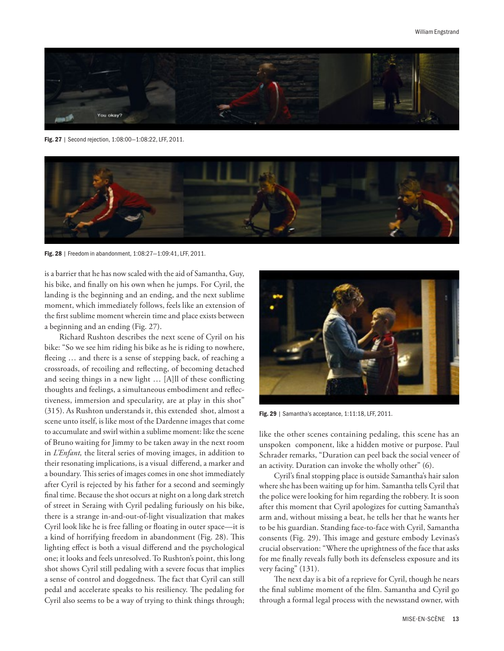

Fig. 27 | Second rejection, 1:08:00—1:08:22, LFF, 2011.



Fig. 28 | Freedom in abandonment, 1:08:27—1:09:41, LFF, 2011.

is a barrier that he has now scaled with the aid of Samantha, Guy, his bike, and finally on his own when he jumps. For Cyril, the landing is the beginning and an ending, and the next sublime moment, which immediately follows, feels like an extension of the first sublime moment wherein time and place exists between a beginning and an ending (Fig. 27).

Richard Rushton describes the next scene of Cyril on his bike: "So we see him riding his bike as he is riding to nowhere, fleeing … and there is a sense of stepping back, of reaching a crossroads, of recoiling and reflecting, of becoming detached and seeing things in a new light … [A]ll of these conflicting thoughts and feelings, a simultaneous embodiment and reflectiveness, immersion and specularity, are at play in this shot" (315). As Rushton understands it, this extended shot, almost a scene unto itself, is like most of the Dardenne images that come to accumulate and swirl within a sublime moment: like the scene of Bruno waiting for Jimmy to be taken away in the next room in *L'Enfant,* the literal series of moving images, in addition to their resonating implications, is a visual differend, a marker and a boundary. This series of images comes in one shot immediately after Cyril is rejected by his father for a second and seemingly final time. Because the shot occurs at night on a long dark stretch of street in Seraing with Cyril pedaling furiously on his bike, there is a strange in-and-out-of-light visualization that makes Cyril look like he is free falling or floating in outer space—it is a kind of horrifying freedom in abandonment (Fig. 28). This lighting effect is both a visual differend and the psychological one; it looks and feels unresolved. To Rushton's point, this long shot shows Cyril still pedaling with a severe focus that implies a sense of control and doggedness. The fact that Cyril can still pedal and accelerate speaks to his resiliency. The pedaling for Cyril also seems to be a way of trying to think things through;



Fig. 29 | Samantha's acceptance, 1:11:18, LFF, 2011.

like the other scenes containing pedaling, this scene has an unspoken component, like a hidden motive or purpose. Paul Schrader remarks, "Duration can peel back the social veneer of an activity. Duration can invoke the wholly other" (6).

Cyril's final stopping place is outside Samantha's hair salon where she has been waiting up for him. Samantha tells Cyril that the police were looking for him regarding the robbery. It is soon after this moment that Cyril apologizes for cutting Samantha's arm and, without missing a beat, he tells her that he wants her to be his guardian. Standing face-to-face with Cyril, Samantha consents (Fig. 29). This image and gesture embody Levinas's crucial observation: "Where the uprightness of the face that asks for me finally reveals fully both its defenseless exposure and its very facing" (131).

The next day is a bit of a reprieve for Cyril, though he nears the final sublime moment of the film. Samantha and Cyril go through a formal legal process with the newsstand owner, with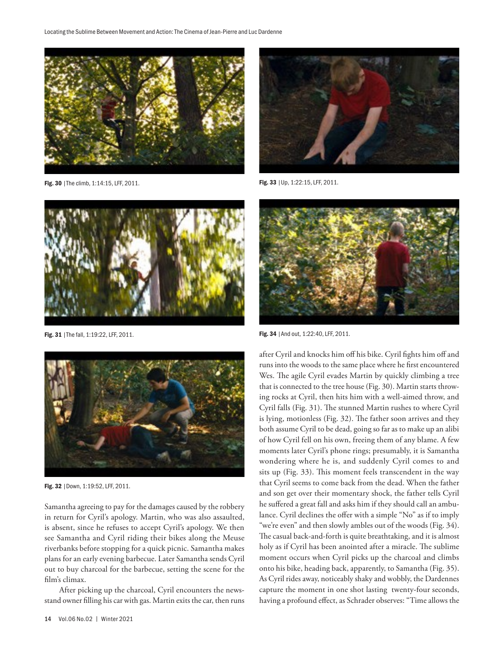

Fig. 30 | The climb, 1:14:15, LFF, 2011.



Fig. 31 | The fall, 1:19:22, LFF, 2011.



Fig. 32 |Down, 1:19:52, LFF, 2011.

Samantha agreeing to pay for the damages caused by the robbery in return for Cyril's apology. Martin, who was also assaulted, is absent, since he refuses to accept Cyril's apology. We then see Samantha and Cyril riding their bikes along the Meuse riverbanks before stopping for a quick picnic. Samantha makes plans for an early evening barbecue. Later Samantha sends Cyril out to buy charcoal for the barbecue, setting the scene for the film's climax.

After picking up the charcoal, Cyril encounters the newsstand owner filling his car with gas. Martin exits the car, then runs



Fig. 33 |Up, 1:22:15, LFF, 2011.



Fig. 34 | And out, 1:22:40, LFF, 2011.

after Cyril and knocks him off his bike. Cyril fights him off and runs into the woods to the same place where he first encountered Wes. The agile Cyril evades Martin by quickly climbing a tree that is connected to the tree house (Fig. 30). Martin starts throwing rocks at Cyril, then hits him with a well-aimed throw, and Cyril falls (Fig. 31). The stunned Martin rushes to where Cyril is lying, motionless (Fig. 32). The father soon arrives and they both assume Cyril to be dead, going so far as to make up an alibi of how Cyril fell on his own, freeing them of any blame. A few moments later Cyril's phone rings; presumably, it is Samantha wondering where he is, and suddenly Cyril comes to and sits up (Fig. 33). This moment feels transcendent in the way that Cyril seems to come back from the dead. When the father and son get over their momentary shock, the father tells Cyril he suffered a great fall and asks him if they should call an ambulance. Cyril declines the offer with a simple "No" as if to imply "we're even" and then slowly ambles out of the woods (Fig. 34). The casual back-and-forth is quite breathtaking, and it is almost holy as if Cyril has been anointed after a miracle. The sublime moment occurs when Cyril picks up the charcoal and climbs onto his bike, heading back, apparently, to Samantha (Fig. 35). As Cyril rides away, noticeably shaky and wobbly, the Dardennes capture the moment in one shot lasting twenty-four seconds, having a profound effect, as Schrader observes: "Time allows the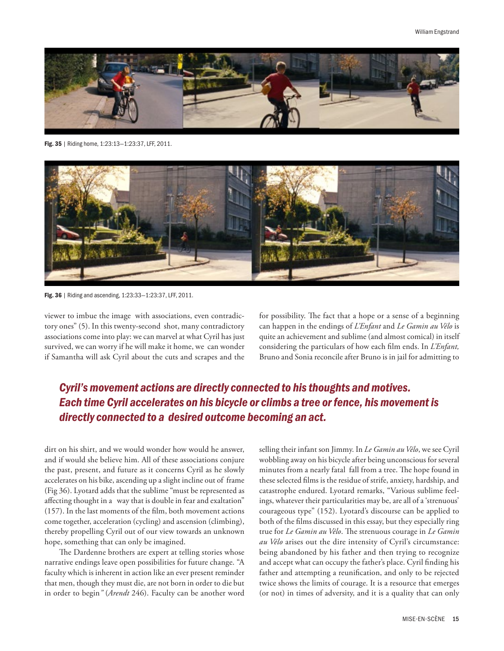

Fig. 35 | Riding home, 1:23:13—1:23:37, LFF, 2011.



Fig. 36 | Riding and ascending, 1:23:33—1:23:37, LFF, 2011.

viewer to imbue the image with associations, even contradictory ones" (5). In this twenty-second shot, many contradictory associations come into play: we can marvel at what Cyril has just survived, we can worry if he will make it home, we can wonder if Samantha will ask Cyril about the cuts and scrapes and the

for possibility. The fact that a hope or a sense of a beginning can happen in the endings of *L'Enfant* and *Le Gamin au Vélo* is quite an achievement and sublime (and almost comical) in itself considering the particulars of how each film ends. In *L'Enfant,* Bruno and Sonia reconcile after Bruno is in jail for admitting to

# *Cyril's movement actions are directly connected to his thoughts and motives. Each time Cyril accelerates on his bicycle or climbs a tree or fence, his movement is directly connected to a desired outcome becoming an act.*

dirt on his shirt, and we would wonder how would he answer, and if would she believe him. All of these associations conjure the past, present, and future as it concerns Cyril as he slowly accelerates on his bike, ascending up a slight incline out of frame (Fig 36). Lyotard adds that the sublime "must be represented as affecting thought in a way that is double in fear and exaltation" (157). In the last moments of the film, both movement actions come together, acceleration (cycling) and ascension (climbing), thereby propelling Cyril out of our view towards an unknown hope, something that can only be imagined.

The Dardenne brothers are expert at telling stories whose narrative endings leave open possibilities for future change. "A faculty which is inherent in action like an ever present reminder that men, though they must die, are not born in order to die but in order to begin*"* (*Arendt* 246). Faculty can be another word

selling their infant son Jimmy. In *Le Gamin au Vélo*, we see Cyril wobbling away on his bicycle after being unconscious for several minutes from a nearly fatal fall from a tree. The hope found in these selected films is the residue of strife, anxiety, hardship, and catastrophe endured. Lyotard remarks, "Various sublime feelings, whatever their particularities may be, are all of a 'strenuous' courageous type" (152). Lyotard's discourse can be applied to both of the films discussed in this essay, but they especially ring true for *Le Gamin au Vélo*. The strenuous courage in *Le Gamin au Vélo* arises out the dire intensity of Cyril's circumstance: being abandoned by his father and then trying to recognize and accept what can occupy the father's place. Cyril finding his father and attempting a reunification, and only to be rejected twice shows the limits of courage. It is a resource that emerges (or not) in times of adversity, and it is a quality that can only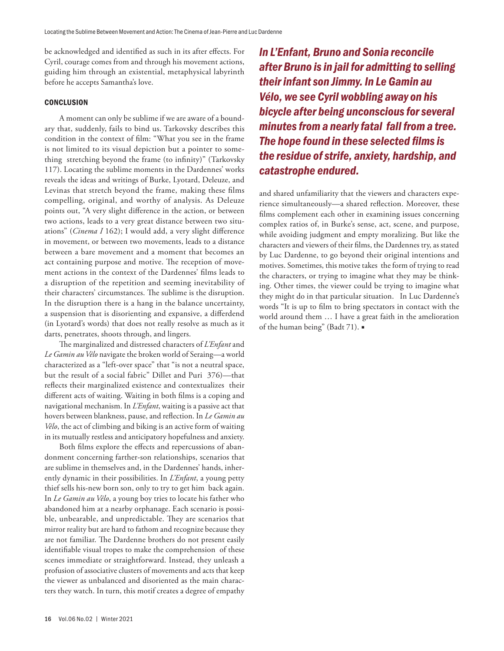be acknowledged and identified as such in its after effects. For Cyril, courage comes from and through his movement actions, guiding him through an existential, metaphysical labyrinth before he accepts Samantha's love.

#### **CONCLUSION**

A moment can only be sublime if we are aware of a boundary that, suddenly, fails to bind us. Tarkovsky describes this condition in the context of film: "What you see in the frame is not limited to its visual depiction but a pointer to something stretching beyond the frame (to infinity)" (Tarkovsky 117). Locating the sublime moments in the Dardennes' works reveals the ideas and writings of Burke, Lyotard, Deleuze, and Levinas that stretch beyond the frame, making these films compelling, original, and worthy of analysis. As Deleuze points out, "A very slight difference in the action, or between two actions, leads to a very great distance between two situations" (*Cinema I* 162); I would add, a very slight difference in movement, or between two movements, leads to a distance between a bare movement and a moment that becomes an act containing purpose and motive. The reception of movement actions in the context of the Dardennes' films leads to a disruption of the repetition and seeming inevitability of their characters' circumstances. The sublime is the disruption. In the disruption there is a hang in the balance uncertainty, a suspension that is disorienting and expansive, a differdend (in Lyotard's words) that does not really resolve as much as it darts, penetrates, shoots through, and lingers.

The marginalized and distressed characters of *L'Enfant* and *Le Gamin au Vélo* navigate the broken world of Seraing—a world characterized as a "left-over space" that "is not a neutral space, but the result of a social fabric" Dillet and Puri 376)—that reflects their marginalized existence and contextualizes their different acts of waiting. Waiting in both films is a coping and navigational mechanism. In *L'Enfant*, waiting is a passive act that hovers between blankness, pause, and reflection. In *Le Gamin au Vélo*, the act of climbing and biking is an active form of waiting in its mutually restless and anticipatory hopefulness and anxiety.

Both films explore the effects and repercussions of abandonment concerning farther-son relationships, scenarios that are sublime in themselves and, in the Dardennes' hands, inherently dynamic in their possibilities. In *L'Enfant*, a young petty thief sells his-new born son, only to try to get him back again. In *Le Gamin au Vélo*, a young boy tries to locate his father who abandoned him at a nearby orphanage. Each scenario is possible, unbearable, and unpredictable. They are scenarios that mirror reality but are hard to fathom and recognize because they are not familiar. The Dardenne brothers do not present easily identifiable visual tropes to make the comprehension of these scenes immediate or straightforward. Instead, they unleash a profusion of associative clusters of movements and acts that keep the viewer as unbalanced and disoriented as the main characters they watch. In turn, this motif creates a degree of empathy *In L'Enfant, Bruno and Sonia reconcile after Bruno is in jail for admitting to selling their infant son Jimmy. In Le Gamin au Vélo, we see Cyril wobbling away on his bicycle after being unconscious for several minutes from a nearly fatal fall from a tree. The hope found in these selected films is the residue of strife, anxiety, hardship, and catastrophe endured.* 

and shared unfamiliarity that the viewers and characters experience simultaneously—a shared reflection. Moreover, these films complement each other in examining issues concerning complex ratios of, in Burke's sense, act, scene, and purpose, while avoiding judgment and empty moralizing. But like the characters and viewers of their films, the Dardennes try, as stated by Luc Dardenne, to go beyond their original intentions and motives. Sometimes, this motive takes the form of trying to read the characters, or trying to imagine what they may be thinking. Other times, the viewer could be trying to imagine what they might do in that particular situation. In Luc Dardenne's words "It is up to film to bring spectators in contact with the world around them … I have a great faith in the amelioration of the human being" (Badt 71).